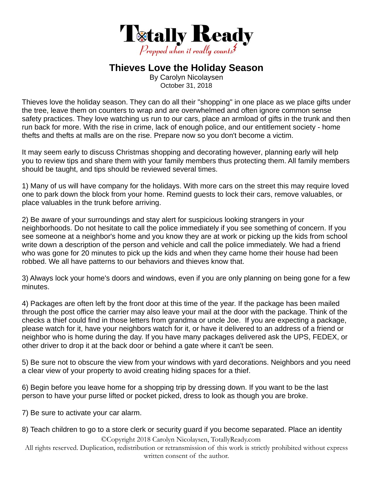

## **Thieves Love the Holiday Season**

By Carolyn Nicolaysen October 31, 2018

Thieves love the holiday season. They can do all their "shopping" in one place as we place gifts under the tree, leave them on counters to wrap and are overwhelmed and often ignore common sense safety practices. They love watching us run to our cars, place an armload of gifts in the trunk and then run back for more. With the rise in crime, lack of enough police, and our entitlement society - home thefts and thefts at malls are on the rise. Prepare now so you don't become a victim.

It may seem early to discuss Christmas shopping and decorating however, planning early will help you to review tips and share them with your family members thus protecting them. All family members should be taught, and tips should be reviewed several times.

1) Many of us will have company for the holidays. With more cars on the street this may require loved one to park down the block from your home. Remind guests to lock their cars, remove valuables, or place valuables in the trunk before arriving.

2) Be aware of your surroundings and stay alert for suspicious looking strangers in your neighborhoods. Do not hesitate to call the police immediately if you see something of concern. If you see someone at a neighbor's home and you know they are at work or picking up the kids from school write down a description of the person and vehicle and call the police immediately. We had a friend who was gone for 20 minutes to pick up the kids and when they came home their house had been robbed. We all have patterns to our behaviors and thieves know that.

3) Always lock your home's doors and windows, even if you are only planning on being gone for a few minutes.

4) Packages are often left by the front door at this time of the year. If the package has been mailed through the post office the carrier may also leave your mail at the door with the package. Think of the checks a thief could find in those letters from grandma or uncle Joe. If you are expecting a package, please watch for it, have your neighbors watch for it, or have it delivered to an address of a friend or neighbor who is home during the day. If you have many packages delivered ask the UPS, FEDEX, or other driver to drop it at the back door or behind a gate where it can't be seen.

5) Be sure not to obscure the view from your windows with yard decorations. Neighbors and you need a clear view of your property to avoid creating hiding spaces for a thief.

6) Begin before you leave home for a shopping trip by dressing down. If you want to be the last person to have your purse lifted or pocket picked, dress to look as though you are broke.

7) Be sure to activate your car alarm.

## 8) Teach children to go to a store clerk or security guard if you become separated. Place an identity

©Copyright 2018 Carolyn Nicolaysen, TotallyReady.com

All rights reserved. Duplication, redistribution or retransmission of this work is strictly prohibited without express written consent of the author.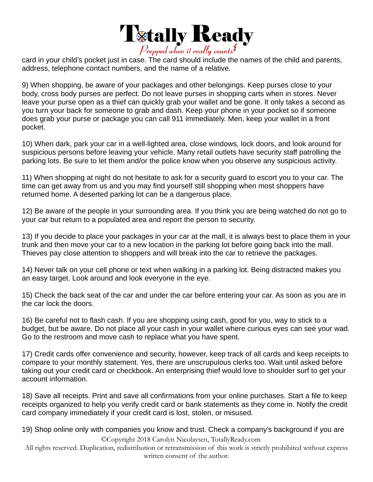

card in your child's pocket just in case. The card should include the names of the child and parents, address, telephone contact numbers, and the name of a relative.

9) When shopping, be aware of your packages and other belongings. Keep purses close to your body, cross body purses are perfect. Do not leave purses in shopping carts when in stores. Never leave your purse open as a thief can quickly grab your wallet and be gone. It only takes a second as you turn your back for someone to grab and dash. Keep your phone in your pocket so if someone does grab your purse or package you can call 911 immediately. Men, keep your wallet in a front pocket.

10) When dark, park your car in a well-lighted area, close windows, lock doors, and look around for suspicious persons before leaving your vehicle. Many retail outlets have security staff patrolling the parking lots. Be sure to let them and/or the police know when you observe any suspicious activity.

11) When shopping at night do not hesitate to ask for a security guard to escort you to your car. The time can get away from us and you may find yourself still shopping when most shoppers have returned home. A deserted parking lot can be a dangerous place.

12) Be aware of the people in your surrounding area. If you think you are being watched do not go to your car but return to a populated area and report the person to security.

13) If you decide to place your packages in your car at the mall, it is always best to place them in your trunk and then move your car to a new location in the parking lot before going back into the mall. Thieves pay close attention to shoppers and will break into the car to retrieve the packages.

14) Never talk on your cell phone or text when walking in a parking lot. Being distracted makes you an easy target. Look around and look everyone in the eye.

15) Check the back seat of the car and under the car before entering your car. As soon as you are in the car lock the doors.

16) Be careful not to flash cash. If you are shopping using cash, good for you, way to stick to a budget, but be aware. Do not place all your cash in your wallet where curious eyes can see your wad. Go to the restroom and move cash to replace what you have spent.

17) Credit cards offer convenience and security, however, keep track of all cards and keep receipts to compare to your monthly statement. Yes, there are unscrupulous clerks too. Wait until asked before taking out your credit card or checkbook. An enterprising thief would love to shoulder surf to get your account information.

18) Save all receipts. Print and save all confirmations from your online purchases. Start a file to keep receipts organized to help you verify credit card or bank statements as they come in. Notify the credit card company immediately if your credit card is lost, stolen, or misused.

19) Shop online only with companies you know and trust. Check a company's background if you are

©Copyright 2018 Carolyn Nicolaysen, TotallyReady.com

All rights reserved. Duplication, redistribution or retransmission of this work is strictly prohibited without express written consent of the author.